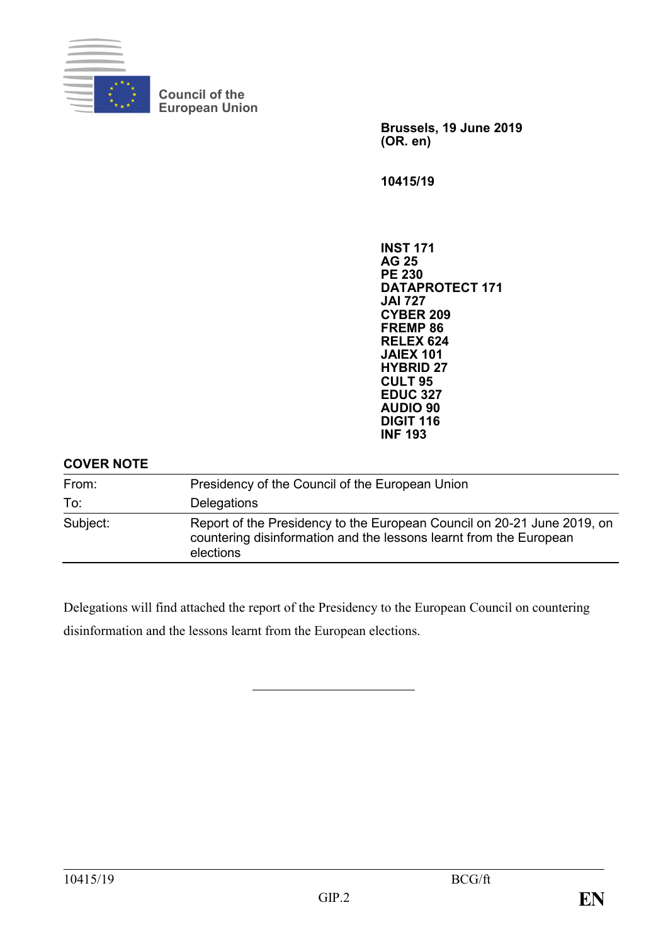

**Council of the European Union**

> **Brussels, 19 June 2019 (OR. en)**

**10415/19**

**INST 171 AG 25 PE 230 DATAPROTECT 171 JAI 727 CYBER 209 FREMP 86 RELEX 624 JAIEX 101 HYBRID 27 CULT 95 EDUC 327 AUDIO 90 DIGIT 116 INF 193**

#### **COVER NOTE**

| From:    | Presidency of the Council of the European Union                                                                                                            |
|----------|------------------------------------------------------------------------------------------------------------------------------------------------------------|
| To:      | <b>Delegations</b>                                                                                                                                         |
| Subject: | Report of the Presidency to the European Council on 20-21 June 2019, on<br>countering disinformation and the lessons learnt from the European<br>elections |

Delegations will find attached the report of the Presidency to the European Council on countering disinformation and the lessons learnt from the European elections.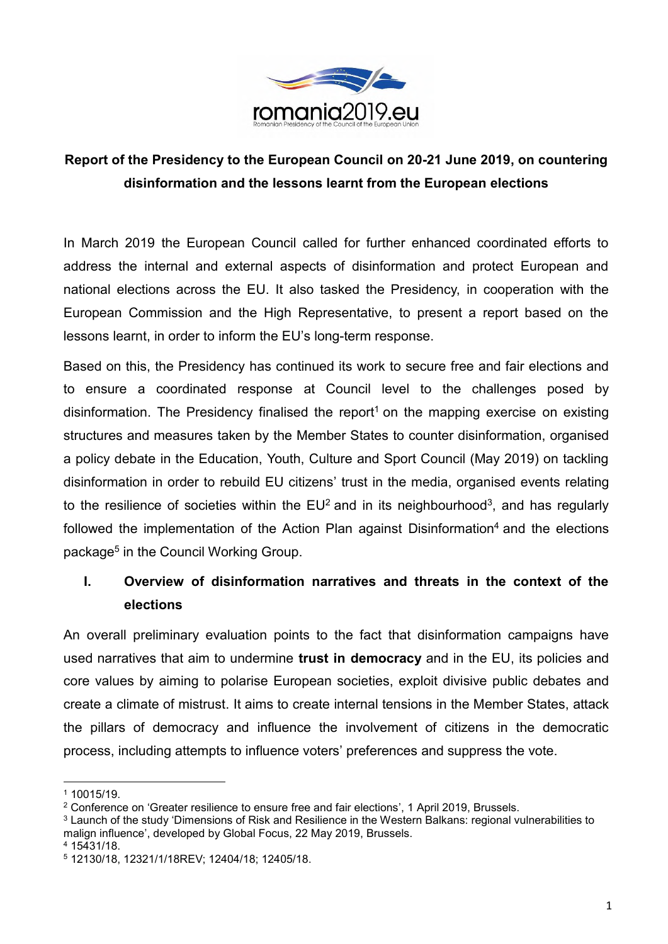

# **Report of the Presidency to the European Council on 20-21 June 2019, on countering disinformation and the lessons learnt from the European elections**

In March 2019 the European Council called for further enhanced coordinated efforts to address the internal and external aspects of disinformation and protect European and national elections across the EU. It also tasked the Presidency, in cooperation with the European Commission and the High Representative, to present a report based on the lessons learnt, in order to inform the EU's long-term response.

Based on this, the Presidency has continued its work to secure free and fair elections and to ensure a coordinated response at Council level to the challenges posed by disinformation. The Presidency finalised the report<sup>1</sup> on the mapping exercise on existing structures and measures taken by the Member States to counter disinformation, organised a policy debate in the Education, Youth, Culture and Sport Council (May 2019) on tackling disinformation in order to rebuild EU citizens' trust in the media, organised events relating to the resilience of societies within the  $EU^2$  and in its neighbourhood<sup>3</sup>, and has regularly followed the implementation of the Action Plan against Disinformation<sup>4</sup> and the elections package<sup>5</sup> in the Council Working Group.

# **I. Overview of disinformation narratives and threats in the context of the elections**

An overall preliminary evaluation points to the fact that disinformation campaigns have used narratives that aim to undermine **trust in democracy** and in the EU, its policies and core values by aiming to polarise European societies, exploit divisive public debates and create a climate of mistrust. It aims to create internal tensions in the Member States, attack the pillars of democracy and influence the involvement of citizens in the democratic process, including attempts to influence voters' preferences and suppress the vote.

 $\overline{\phantom{a}}$ 

<sup>1</sup> 10015/19.

<sup>2</sup> Conference on 'Greater resilience to ensure free and fair elections', 1 April 2019, Brussels.

<sup>3</sup> Launch of the study 'Dimensions of Risk and Resilience in the Western Balkans: regional vulnerabilities to malign influence', developed by Global Focus, 22 May 2019, Brussels.

<sup>4</sup> 15431/18.

<sup>5</sup> 12130/18, 12321/1/18REV; 12404/18; 12405/18.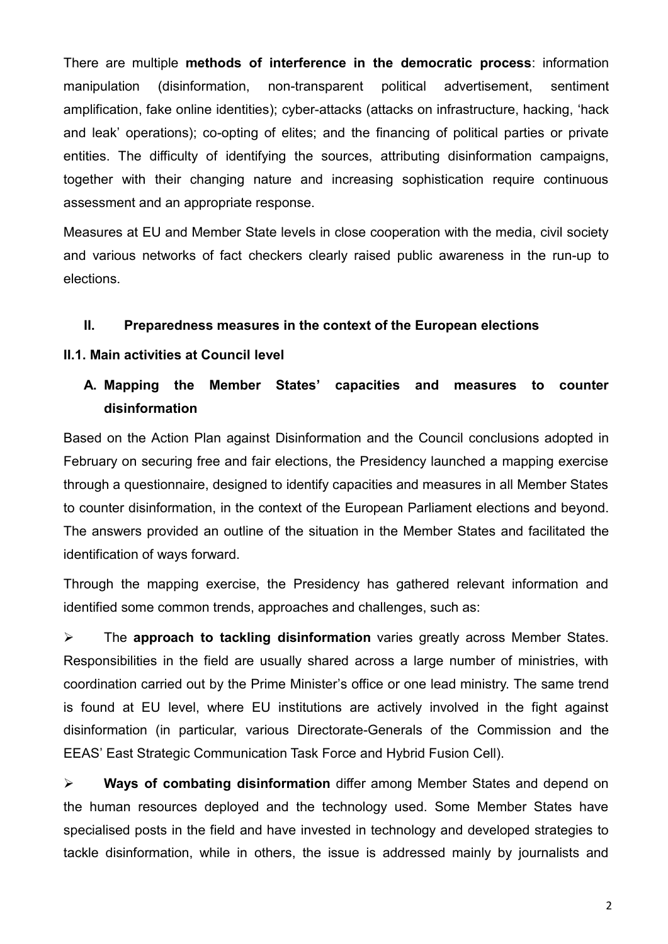There are multiple **methods of interference in the democratic process**: information manipulation (disinformation, non-transparent political advertisement, sentiment amplification, fake online identities); cyber-attacks (attacks on infrastructure, hacking, 'hack and leak' operations); co-opting of elites; and the financing of political parties or private entities. The difficulty of identifying the sources, attributing disinformation campaigns, together with their changing nature and increasing sophistication require continuous assessment and an appropriate response.

Measures at EU and Member State levels in close cooperation with the media, civil society and various networks of fact checkers clearly raised public awareness in the run-up to elections.

#### **II. Preparedness measures in the context of the European elections**

#### **II.1. Main activities at Council level**

### **A. Mapping the Member States' capacities and measures to counter disinformation**

Based on the Action Plan against Disinformation and the Council conclusions adopted in February on securing free and fair elections, the Presidency launched a mapping exercise through a questionnaire, designed to identify capacities and measures in all Member States to counter disinformation, in the context of the European Parliament elections and beyond. The answers provided an outline of the situation in the Member States and facilitated the identification of ways forward.

Through the mapping exercise, the Presidency has gathered relevant information and identified some common trends, approaches and challenges, such as:

⮚ The **approach to tackling disinformation** varies greatly across Member States. Responsibilities in the field are usually shared across a large number of ministries, with coordination carried out by the Prime Minister's office or one lead ministry. The same trend is found at EU level, where EU institutions are actively involved in the fight against disinformation (in particular, various Directorate-Generals of the Commission and the EEAS' East Strategic Communication Task Force and Hybrid Fusion Cell).

⮚ **Ways of combating disinformation** differ among Member States and depend on the human resources deployed and the technology used. Some Member States have specialised posts in the field and have invested in technology and developed strategies to tackle disinformation, while in others, the issue is addressed mainly by journalists and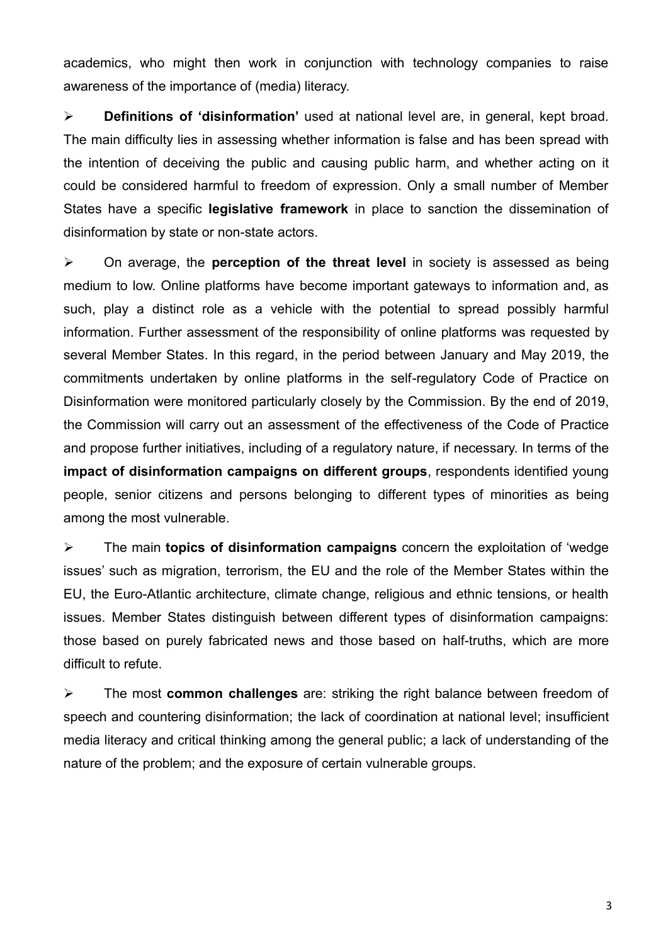academics, who might then work in conjunction with technology companies to raise awareness of the importance of (media) literacy.

⮚ **Definitions of 'disinformation'** used at national level are, in general, kept broad. The main difficulty lies in assessing whether information is false and has been spread with the intention of deceiving the public and causing public harm, and whether acting on it could be considered harmful to freedom of expression. Only a small number of Member States have a specific **legislative framework** in place to sanction the dissemination of disinformation by state or non-state actors.

⮚ On average, the **perception of the threat level** in society is assessed as being medium to low. Online platforms have become important gateways to information and, as such, play a distinct role as a vehicle with the potential to spread possibly harmful information. Further assessment of the responsibility of online platforms was requested by several Member States. In this regard, in the period between January and May 2019, the commitments undertaken by online platforms in the self-regulatory Code of Practice on Disinformation were monitored particularly closely by the Commission. By the end of 2019, the Commission will carry out an assessment of the effectiveness of the Code of Practice and propose further initiatives, including of a regulatory nature, if necessary. In terms of the **impact of disinformation campaigns on different groups**, respondents identified young people, senior citizens and persons belonging to different types of minorities as being among the most vulnerable.

⮚ The main **topics of disinformation campaigns** concern the exploitation of 'wedge issues' such as migration, terrorism, the EU and the role of the Member States within the EU, the Euro-Atlantic architecture, climate change, religious and ethnic tensions, or health issues. Member States distinguish between different types of disinformation campaigns: those based on purely fabricated news and those based on half-truths, which are more difficult to refute.

⮚ The most **common challenges** are: striking the right balance between freedom of speech and countering disinformation; the lack of coordination at national level; insufficient media literacy and critical thinking among the general public; a lack of understanding of the nature of the problem; and the exposure of certain vulnerable groups.

3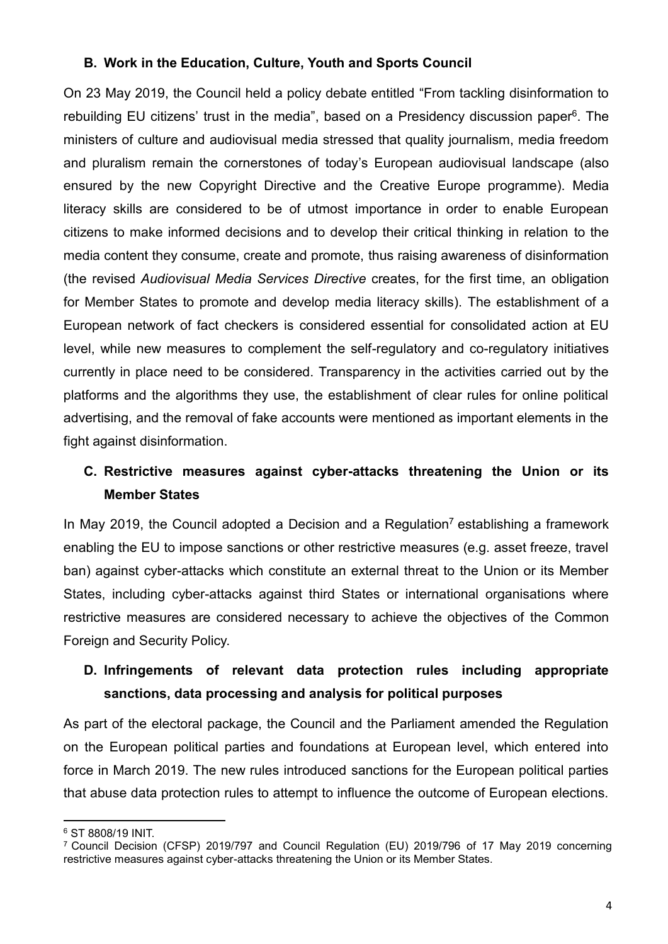### **B. Work in the Education, Culture, Youth and Sports Council**

On 23 May 2019, the Council held a policy debate entitled "From tackling disinformation to rebuilding EU citizens' trust in the media", based on a Presidency discussion paper<sup>6</sup>. The ministers of culture and audiovisual media stressed that quality journalism, media freedom and pluralism remain the cornerstones of today's European audiovisual landscape (also ensured by the new Copyright Directive and the Creative Europe programme). Media literacy skills are considered to be of utmost importance in order to enable European citizens to make informed decisions and to develop their critical thinking in relation to the media content they consume, create and promote, thus raising awareness of disinformation (the revised *Audiovisual Media Services Directive* creates, for the first time, an obligation for Member States to promote and develop media literacy skills). The establishment of a European network of fact checkers is considered essential for consolidated action at EU level, while new measures to complement the self-regulatory and co-regulatory initiatives currently in place need to be considered. Transparency in the activities carried out by the platforms and the algorithms they use, the establishment of clear rules for online political advertising, and the removal of fake accounts were mentioned as important elements in the fight against disinformation.

# **C. Restrictive measures against cyber-attacks threatening the Union or its Member States**

In May 2019, the Council adopted a Decision and a Regulation<sup>7</sup> establishing a framework enabling the EU to impose sanctions or other restrictive measures (e.g. asset freeze, travel ban) against cyber-attacks which constitute an external threat to the Union or its Member States, including cyber-attacks against third States or international organisations where restrictive measures are considered necessary to achieve the objectives of the Common Foreign and Security Policy.

# **D. Infringements of relevant data protection rules including appropriate sanctions, data processing and analysis for political purposes**

As part of the electoral package, the Council and the Parliament amended the Regulation on the European political parties and foundations at European level, which entered into force in March 2019. The new rules introduced sanctions for the European political parties that abuse data protection rules to attempt to influence the outcome of European elections.

<sup>1</sup> <sup>6</sup> ST 8808/19 INIT.

<sup>7</sup> Council Decision (CFSP) 2019/797 and Council Regulation (EU) 2019/796 of 17 May 2019 concerning restrictive measures against cyber-attacks threatening the Union or its Member States.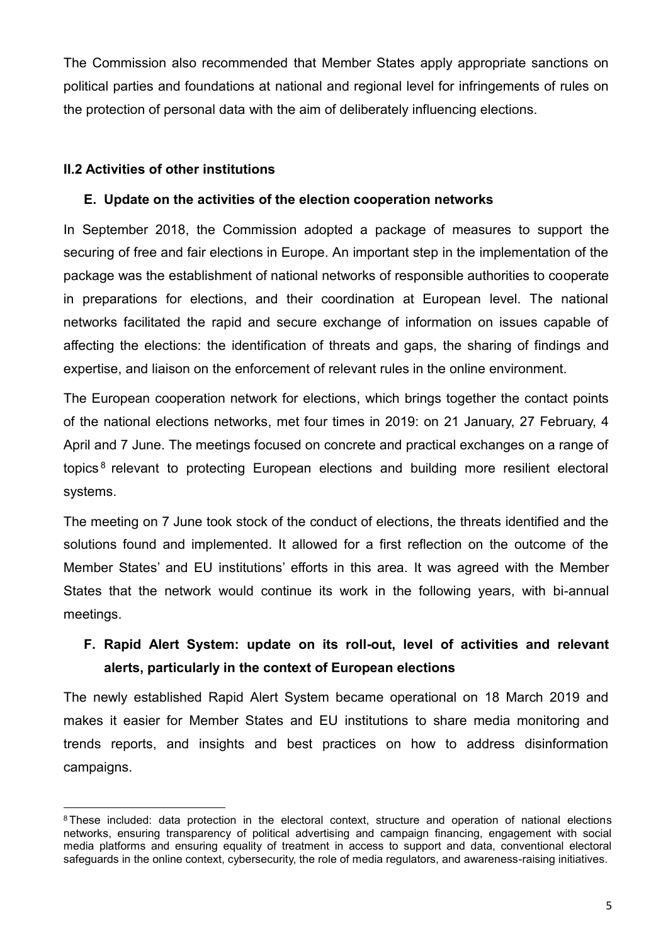The Commission also recommended that Member States apply appropriate sanctions on political parties and foundations at national and regional level for infringements of rules on the protection of personal data with the aim of deliberately influencing elections.

#### **II.2 Activities of other institutions**

**.** 

#### **E. Update on the activities of the election cooperation networks**

In September 2018, the Commission adopted a package of measures to support the securing of free and fair elections in Europe. An important step in the implementation of the package was the establishment of national networks of responsible authorities to cooperate in preparations for elections, and their coordination at European level. The national networks facilitated the rapid and secure exchange of information on issues capable of affecting the elections: the identification of threats and gaps, the sharing of findings and expertise, and liaison on the enforcement of relevant rules in the online environment.

The European cooperation network for elections, which brings together the contact points of the national elections networks, met four times in 2019: on 21 January, 27 February, 4 April and 7 June. The meetings focused on concrete and practical exchanges on a range of topics<sup>8</sup> relevant to protecting European elections and building more resilient electoral systems.

The meeting on 7 June took stock of the conduct of elections, the threats identified and the solutions found and implemented. It allowed for a first reflection on the outcome of the Member States' and EU institutions' efforts in this area. It was agreed with the Member States that the network would continue its work in the following years, with bi-annual meetings.

## **F. Rapid Alert System: update on its roll-out, level of activities and relevant alerts, particularly in the context of European elections**

The newly established Rapid Alert System became operational on 18 March 2019 and makes it easier for Member States and EU institutions to share media monitoring and trends reports, and insights and best practices on how to address disinformation campaigns.

<sup>&</sup>lt;sup>8</sup> These included: data protection in the electoral context, structure and operation of national elections networks, ensuring transparency of political advertising and campaign financing, engagement with social media platforms and ensuring equality of treatment in access to support and data, conventional electoral safeguards in the online context, cybersecurity, the role of media regulators, and awareness-raising initiatives.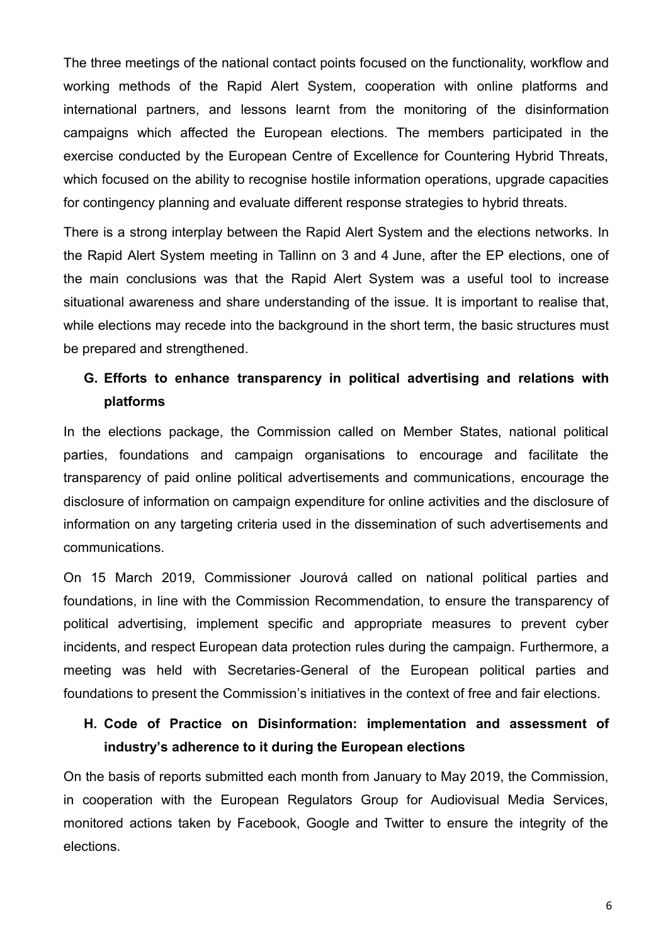The three meetings of the national contact points focused on the functionality, workflow and working methods of the Rapid Alert System, cooperation with online platforms and international partners, and lessons learnt from the monitoring of the disinformation campaigns which affected the European elections. The members participated in the exercise conducted by the European Centre of Excellence for Countering Hybrid Threats, which focused on the ability to recognise hostile information operations, upgrade capacities for contingency planning and evaluate different response strategies to hybrid threats.

There is a strong interplay between the Rapid Alert System and the elections networks. In the Rapid Alert System meeting in Tallinn on 3 and 4 June, after the EP elections, one of the main conclusions was that the Rapid Alert System was a useful tool to increase situational awareness and share understanding of the issue. It is important to realise that, while elections may recede into the background in the short term, the basic structures must be prepared and strengthened.

### **G. Efforts to enhance transparency in political advertising and relations with platforms**

In the elections package, the Commission called on Member States, national political parties, foundations and campaign organisations to encourage and facilitate the transparency of paid online political advertisements and communications, encourage the disclosure of information on campaign expenditure for online activities and the disclosure of information on any targeting criteria used in the dissemination of such advertisements and communications.

On 15 March 2019, Commissioner Jourová called on national political parties and foundations, in line with the Commission Recommendation, to ensure the transparency of political advertising, implement specific and appropriate measures to prevent cyber incidents, and respect European data protection rules during the campaign. Furthermore, a meeting was held with Secretaries-General of the European political parties and foundations to present the Commission's initiatives in the context of free and fair elections.

## **H. Code of Practice on Disinformation: implementation and assessment of industry's adherence to it during the European elections**

On the basis of reports submitted each month from January to May 2019, the Commission, in cooperation with the European Regulators Group for Audiovisual Media Services, monitored actions taken by Facebook, Google and Twitter to ensure the integrity of the elections.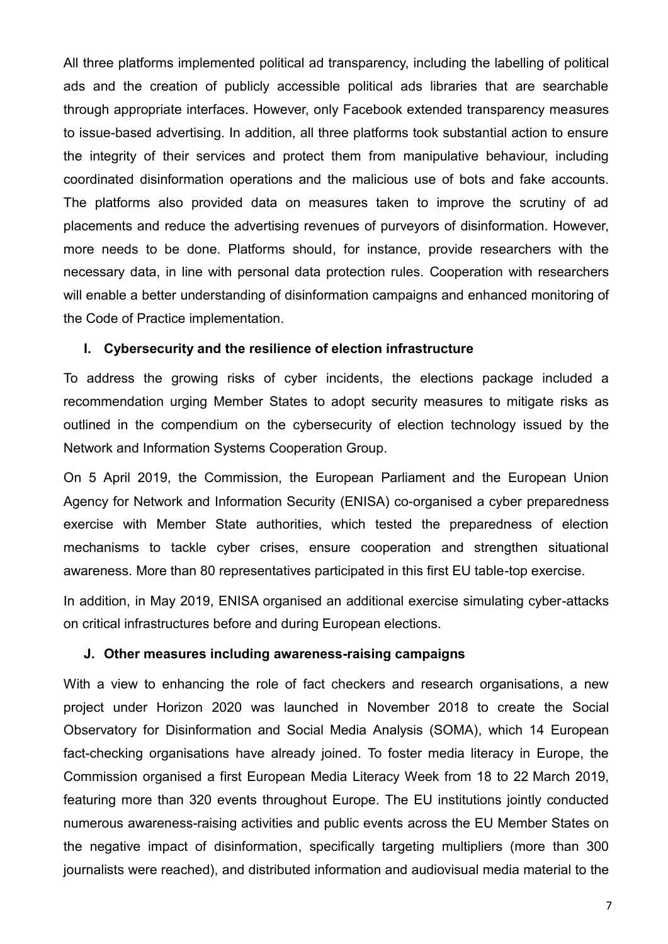All three platforms implemented political ad transparency, including the labelling of political ads and the creation of publicly accessible political ads libraries that are searchable through appropriate interfaces. However, only Facebook extended transparency measures to issue-based advertising. In addition, all three platforms took substantial action to ensure the integrity of their services and protect them from manipulative behaviour, including coordinated disinformation operations and the malicious use of bots and fake accounts. The platforms also provided data on measures taken to improve the scrutiny of ad placements and reduce the advertising revenues of purveyors of disinformation. However, more needs to be done. Platforms should, for instance, provide researchers with the necessary data, in line with personal data protection rules. Cooperation with researchers will enable a better understanding of disinformation campaigns and enhanced monitoring of the Code of Practice implementation.

#### **I. Cybersecurity and the resilience of election infrastructure**

To address the growing risks of cyber incidents, the elections package included a recommendation urging Member States to adopt security measures to mitigate risks as outlined in the compendium on the cybersecurity of election technology issued by the Network and Information Systems Cooperation Group.

On 5 April 2019, the Commission, the European Parliament and the European Union Agency for Network and Information Security (ENISA) co-organised a cyber preparedness exercise with Member State authorities, which tested the preparedness of election mechanisms to tackle cyber crises, ensure cooperation and strengthen situational awareness. More than 80 representatives participated in this first EU table-top exercise.

In addition, in May 2019, ENISA organised an additional exercise simulating cyber-attacks on critical infrastructures before and during European elections.

#### **J. Other measures including awareness-raising campaigns**

With a view to enhancing the role of fact checkers and research organisations, a new project under Horizon 2020 was launched in November 2018 to create the Social Observatory for Disinformation and Social Media Analysis (SOMA), which 14 European fact-checking organisations have already joined. To foster media literacy in Europe, the Commission organised a first European Media Literacy Week from 18 to 22 March 2019, featuring more than 320 events throughout Europe. The EU institutions jointly conducted numerous awareness-raising activities and public events across the EU Member States on the negative impact of disinformation, specifically targeting multipliers (more than 300 journalists were reached), and distributed information and audiovisual media material to the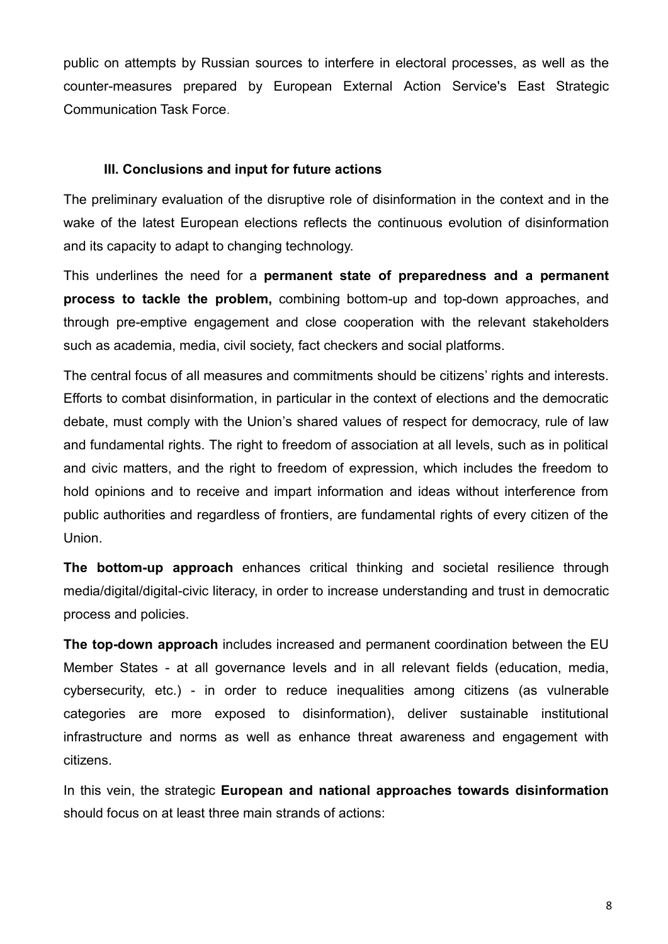public on attempts by Russian sources to interfere in electoral processes, as well as the counter-measures prepared by European External Action Service's East Strategic Communication Task Force.

#### **III. Conclusions and input for future actions**

The preliminary evaluation of the disruptive role of disinformation in the context and in the wake of the latest European elections reflects the continuous evolution of disinformation and its capacity to adapt to changing technology.

This underlines the need for a **permanent state of preparedness and a permanent process to tackle the problem,** combining bottom-up and top-down approaches, and through pre-emptive engagement and close cooperation with the relevant stakeholders such as academia, media, civil society, fact checkers and social platforms.

The central focus of all measures and commitments should be citizens' rights and interests. Efforts to combat disinformation, in particular in the context of elections and the democratic debate, must comply with the Union's shared values of respect for democracy, rule of law and fundamental rights. The right to freedom of association at all levels, such as in political and civic matters, and the right to freedom of expression, which includes the freedom to hold opinions and to receive and impart information and ideas without interference from public authorities and regardless of frontiers, are fundamental rights of every citizen of the Union.

**The bottom-up approach** enhances critical thinking and societal resilience through media/digital/digital-civic literacy, in order to increase understanding and trust in democratic process and policies.

**The top-down approach** includes increased and permanent coordination between the EU Member States - at all governance levels and in all relevant fields (education, media, cybersecurity, etc.) - in order to reduce inequalities among citizens (as vulnerable categories are more exposed to disinformation), deliver sustainable institutional infrastructure and norms as well as enhance threat awareness and engagement with citizens.

In this vein, the strategic **European and national approaches towards disinformation** should focus on at least three main strands of actions: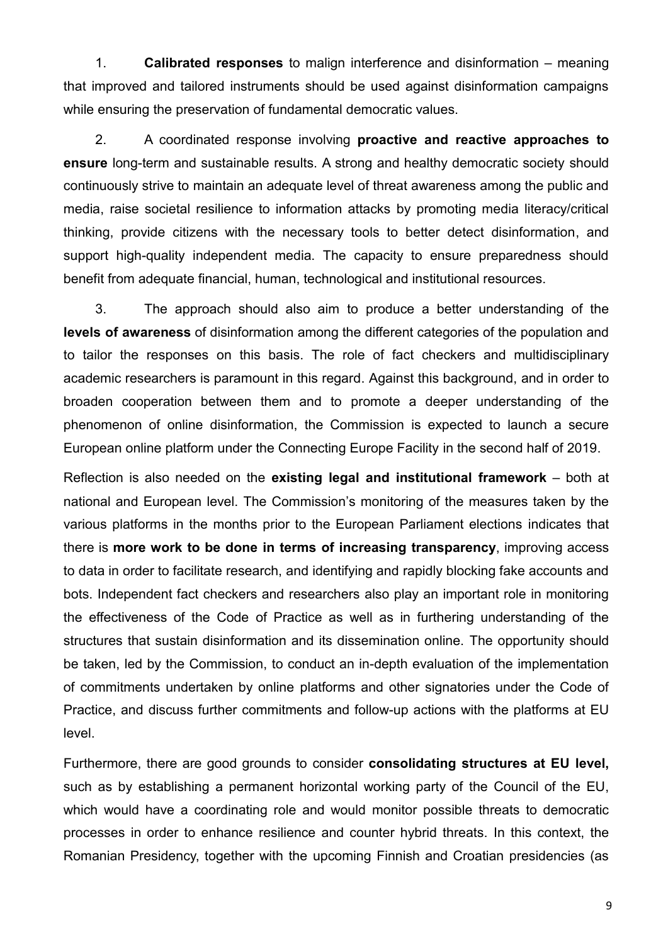1. **Calibrated responses** to malign interference and disinformation – meaning that improved and tailored instruments should be used against disinformation campaigns while ensuring the preservation of fundamental democratic values.

2. A coordinated response involving **proactive and reactive approaches to ensure** long-term and sustainable results. A strong and healthy democratic society should continuously strive to maintain an adequate level of threat awareness among the public and media, raise societal resilience to information attacks by promoting media literacy/critical thinking, provide citizens with the necessary tools to better detect disinformation, and support high-quality independent media. The capacity to ensure preparedness should benefit from adequate financial, human, technological and institutional resources.

3. The approach should also aim to produce a better understanding of the **levels of awareness** of disinformation among the different categories of the population and to tailor the responses on this basis. The role of fact checkers and multidisciplinary academic researchers is paramount in this regard. Against this background, and in order to broaden cooperation between them and to promote a deeper understanding of the phenomenon of online disinformation, the Commission is expected to launch a secure European online platform under the Connecting Europe Facility in the second half of 2019.

Reflection is also needed on the **existing legal and institutional framework** – both at national and European level. The Commission's monitoring of the measures taken by the various platforms in the months prior to the European Parliament elections indicates that there is **more work to be done in terms of increasing transparency**, improving access to data in order to facilitate research, and identifying and rapidly blocking fake accounts and bots. Independent fact checkers and researchers also play an important role in monitoring the effectiveness of the Code of Practice as well as in furthering understanding of the structures that sustain disinformation and its dissemination online. The opportunity should be taken, led by the Commission, to conduct an in-depth evaluation of the implementation of commitments undertaken by online platforms and other signatories under the Code of Practice, and discuss further commitments and follow-up actions with the platforms at EU level.

Furthermore, there are good grounds to consider **consolidating structures at EU level,** such as by establishing a permanent horizontal working party of the Council of the EU, which would have a coordinating role and would monitor possible threats to democratic processes in order to enhance resilience and counter hybrid threats. In this context, the Romanian Presidency, together with the upcoming Finnish and Croatian presidencies (as